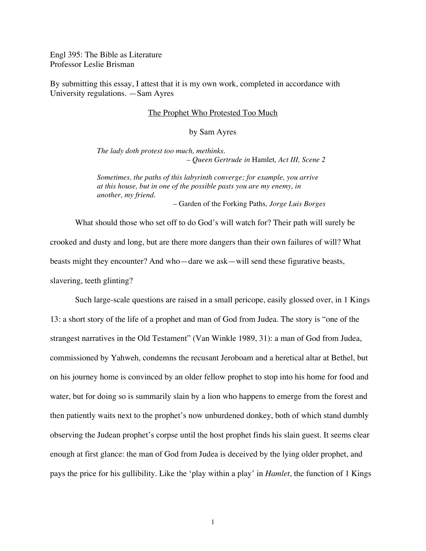Engl 395: The Bible as Literature Professor Leslie Brisman

By submitting this essay, I attest that it is my own work, completed in accordance with University regulations. —Sam Ayres

## The Prophet Who Protested Too Much

by Sam Ayres

*The lady doth protest too much, methinks. – Queen Gertrude in* Hamlet*, Act III, Scene 2*

*Sometimes, the paths of this labyrinth converge; for example, you arrive at this house, but in one of the possible pasts you are my enemy, in another, my friend.*

*–* Garden of the Forking Paths*, Jorge Luis Borges*

What should those who set off to do God's will watch for? Their path will surely be crooked and dusty and long, but are there more dangers than their own failures of will? What beasts might they encounter? And who—dare we ask—will send these figurative beasts, slavering, teeth glinting?

Such large-scale questions are raised in a small pericope, easily glossed over, in 1 Kings 13: a short story of the life of a prophet and man of God from Judea. The story is "one of the strangest narratives in the Old Testament" (Van Winkle 1989, 31): a man of God from Judea, commissioned by Yahweh, condemns the recusant Jeroboam and a heretical altar at Bethel, but on his journey home is convinced by an older fellow prophet to stop into his home for food and water, but for doing so is summarily slain by a lion who happens to emerge from the forest and then patiently waits next to the prophet's now unburdened donkey, both of which stand dumbly observing the Judean prophet's corpse until the host prophet finds his slain guest. It seems clear enough at first glance: the man of God from Judea is deceived by the lying older prophet, and pays the price for his gullibility. Like the 'play within a play' in *Hamlet*, the function of 1 Kings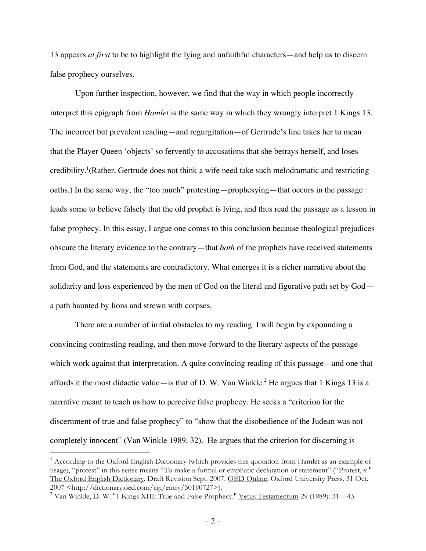13 appears *at first* to be to highlight the lying and unfaithful characters—and help us to discern false prophecy ourselves.

Upon further inspection, however, we find that the way in which people incorrectly interpret this epigraph from *Hamlet* is the same way in which they wrongly interpret 1 Kings 13. The incorrect but prevalent reading—and regurgitation—of Gertrude's line takes her to mean that the Player Queen 'objects' so fervently to accusations that she betrays herself, and loses credibility.<sup>1</sup>(Rather, Gertrude does not think a wife need take such melodramatic and restricting oaths.) In the same way, the "too much" protesting—prophesying—that occurs in the passage leads some to believe falsely that the old prophet is lying, and thus read the passage as a lesson in false prophecy. In this essay, I argue one comes to this conclusion because theological prejudices obscure the literary evidence to the contrary—that *both* of the prophets have received statements from God, and the statements are contradictory. What emerges it is a richer narrative about the solidarity and loss experienced by the men of God on the literal and figurative path set by God a path haunted by lions and strewn with corpses.

There are a number of initial obstacles to my reading. I will begin by expounding a convincing contrasting reading, and then move forward to the literary aspects of the passage which work against that interpretation. A quite convincing reading of this passage—and one that affords it the most didactic value—is that of D. W. Van Winkle.<sup>2</sup> He argues that 1 Kings 13 is a narrative meant to teach us how to perceive false prophecy. He seeks a "criterion for the discernment of true and false prophecy" to "show that the disobedience of the Judean was not completely innocent" (Van Winkle 1989, 32). He argues that the criterion for discerning is

 <sup>1</sup> According to the Oxford English Dictionary (which provides this quotation from Hamlet as an example of usage), "protest" in this sense means "To make a formal or emphatic declaration or statement" ("Protest, v." The Oxford English Dictionary. Draft Revision Sept. 2007. OED Online. Oxford University Press. 31 Oct. <sup>2007</sup> <http://dictionary.oed.com/cgi/entry/50190727>). <sup>2</sup> Van Winkle, D. W. "1 Kings XIII: True and False Prophecy." Vetus Testamentum <sup>29</sup> (1989): 31—43.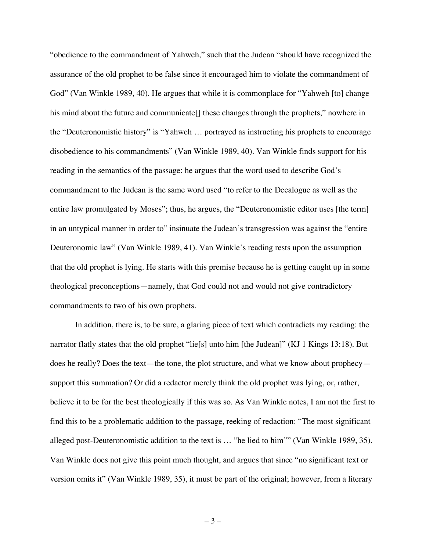"obedience to the commandment of Yahweh," such that the Judean "should have recognized the assurance of the old prophet to be false since it encouraged him to violate the commandment of God" (Van Winkle 1989, 40). He argues that while it is commonplace for "Yahweh [to] change his mind about the future and communicate. These changes through the prophets," nowhere in the "Deuteronomistic history" is "Yahweh … portrayed as instructing his prophets to encourage disobedience to his commandments" (Van Winkle 1989, 40). Van Winkle finds support for his reading in the semantics of the passage: he argues that the word used to describe God's commandment to the Judean is the same word used "to refer to the Decalogue as well as the entire law promulgated by Moses"; thus, he argues, the "Deuteronomistic editor uses [the term] in an untypical manner in order to" insinuate the Judean's transgression was against the "entire" Deuteronomic law" (Van Winkle 1989, 41). Van Winkle's reading rests upon the assumption that the old prophet is lying. He starts with this premise because he is getting caught up in some theological preconceptions—namely, that God could not and would not give contradictory commandments to two of his own prophets.

In addition, there is, to be sure, a glaring piece of text which contradicts my reading: the narrator flatly states that the old prophet "lie[s] unto him [the Judean]" (KJ 1 Kings 13:18). But does he really? Does the text—the tone, the plot structure, and what we know about prophecy support this summation? Or did a redactor merely think the old prophet was lying, or, rather, believe it to be for the best theologically if this was so. As Van Winkle notes, I am not the first to find this to be a problematic addition to the passage, reeking of redaction: "The most significant alleged post-Deuteronomistic addition to the text is … "he lied to him"" (Van Winkle 1989, 35). Van Winkle does not give this point much thought, and argues that since "no significant text or version omits it" (Van Winkle 1989, 35), it must be part of the original; however, from a literary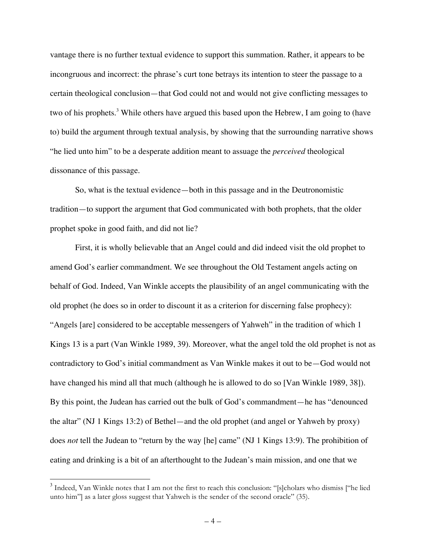vantage there is no further textual evidence to support this summation. Rather, it appears to be incongruous and incorrect: the phrase's curt tone betrays its intention to steer the passage to a certain theological conclusion—that God could not and would not give conflicting messages to two of his prophets.<sup>3</sup> While others have argued this based upon the Hebrew, I am going to (have to) build the argument through textual analysis, by showing that the surrounding narrative shows "he lied unto him" to be a desperate addition meant to assuage the *perceived* theological dissonance of this passage.

So, what is the textual evidence—both in this passage and in the Deutronomistic tradition—to support the argument that God communicated with both prophets, that the older prophet spoke in good faith, and did not lie?

First, it is wholly believable that an Angel could and did indeed visit the old prophet to amend God's earlier commandment. We see throughout the Old Testament angels acting on behalf of God. Indeed, Van Winkle accepts the plausibility of an angel communicating with the old prophet (he does so in order to discount it as a criterion for discerning false prophecy): "Angels [are] considered to be acceptable messengers of Yahweh" in the tradition of which 1 Kings 13 is a part (Van Winkle 1989, 39). Moreover, what the angel told the old prophet is not as contradictory to God's initial commandment as Van Winkle makes it out to be—God would not have changed his mind all that much (although he is allowed to do so [Van Winkle 1989, 38]). By this point, the Judean has carried out the bulk of God's commandment—he has "denounced the altar" (NJ 1 Kings 13:2) of Bethel—and the old prophet (and angel or Yahweh by proxy) does *not* tell the Judean to "return by the way [he] came" (NJ 1 Kings 13:9). The prohibition of eating and drinking is a bit of an afterthought to the Judean's main mission, and one that we

<sup>&</sup>lt;sup>3</sup> Indeed, Van Winkle notes that I am not the first to reach this conclusion: "[s]cholars who dismiss ["he lied unto him"] as a later gloss suggest that Yahweh is the sender of the second oracle" (35).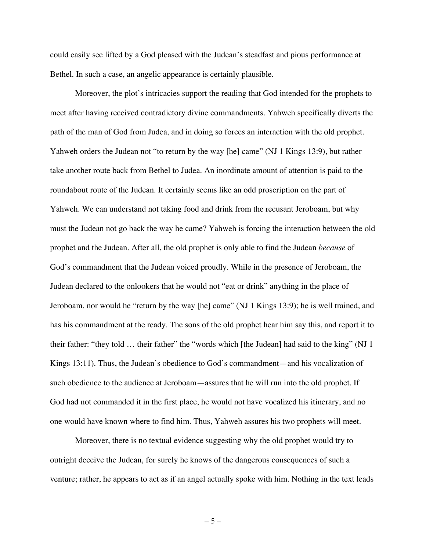could easily see lifted by a God pleased with the Judean's steadfast and pious performance at Bethel. In such a case, an angelic appearance is certainly plausible.

Moreover, the plot's intricacies support the reading that God intended for the prophets to meet after having received contradictory divine commandments. Yahweh specifically diverts the path of the man of God from Judea, and in doing so forces an interaction with the old prophet. Yahweh orders the Judean not "to return by the way [he] came" (NJ 1 Kings 13:9), but rather take another route back from Bethel to Judea. An inordinate amount of attention is paid to the roundabout route of the Judean. It certainly seems like an odd proscription on the part of Yahweh. We can understand not taking food and drink from the recusant Jeroboam, but why must the Judean not go back the way he came? Yahweh is forcing the interaction between the old prophet and the Judean. After all, the old prophet is only able to find the Judean *because* of God's commandment that the Judean voiced proudly. While in the presence of Jeroboam, the Judean declared to the onlookers that he would not "eat or drink" anything in the place of Jeroboam, nor would he "return by the way [he] came" (NJ 1 Kings 13:9); he is well trained, and has his commandment at the ready. The sons of the old prophet hear him say this, and report it to their father: "they told … their father" the "words which [the Judean] had said to the king" (NJ 1 Kings 13:11). Thus, the Judean's obedience to God's commandment—and his vocalization of such obedience to the audience at Jeroboam—assures that he will run into the old prophet. If God had not commanded it in the first place, he would not have vocalized his itinerary, and no one would have known where to find him. Thus, Yahweh assures his two prophets will meet.

Moreover, there is no textual evidence suggesting why the old prophet would try to outright deceive the Judean, for surely he knows of the dangerous consequences of such a venture; rather, he appears to act as if an angel actually spoke with him. Nothing in the text leads

 $-5-$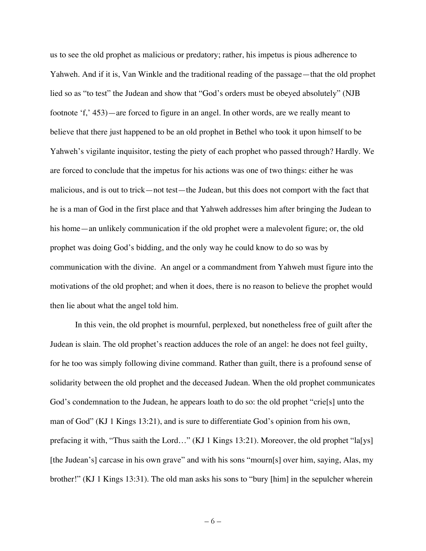us to see the old prophet as malicious or predatory; rather, his impetus is pious adherence to Yahweh. And if it is, Van Winkle and the traditional reading of the passage—that the old prophet lied so as "to test" the Judean and show that "God's orders must be obeyed absolutely" (NJB footnote 'f,' 453)—are forced to figure in an angel. In other words, are we really meant to believe that there just happened to be an old prophet in Bethel who took it upon himself to be Yahweh's vigilante inquisitor, testing the piety of each prophet who passed through? Hardly. We are forced to conclude that the impetus for his actions was one of two things: either he was malicious, and is out to trick—not test—the Judean, but this does not comport with the fact that he is a man of God in the first place and that Yahweh addresses him after bringing the Judean to his home—an unlikely communication if the old prophet were a malevolent figure; or, the old prophet was doing God's bidding, and the only way he could know to do so was by communication with the divine. An angel or a commandment from Yahweh must figure into the motivations of the old prophet; and when it does, there is no reason to believe the prophet would then lie about what the angel told him.

In this vein, the old prophet is mournful, perplexed, but nonetheless free of guilt after the Judean is slain. The old prophet's reaction adduces the role of an angel: he does not feel guilty, for he too was simply following divine command. Rather than guilt, there is a profound sense of solidarity between the old prophet and the deceased Judean. When the old prophet communicates God's condemnation to the Judean, he appears loath to do so: the old prophet "crie[s] unto the man of God" (KJ 1 Kings 13:21), and is sure to differentiate God's opinion from his own, prefacing it with, "Thus saith the Lord…" (KJ 1 Kings 13:21). Moreover, the old prophet "la[ys] [the Judean's] carcase in his own grave" and with his sons "mourn[s] over him, saying, Alas, my brother!" (KJ 1 Kings 13:31). The old man asks his sons to "bury [him] in the sepulcher wherein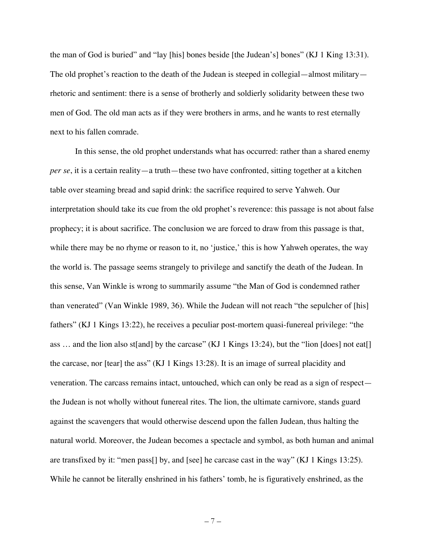the man of God is buried" and "lay [his] bones beside [the Judean's] bones" (KJ 1 King 13:31). The old prophet's reaction to the death of the Judean is steeped in collegial—almost military rhetoric and sentiment: there is a sense of brotherly and soldierly solidarity between these two men of God. The old man acts as if they were brothers in arms, and he wants to rest eternally next to his fallen comrade.

In this sense, the old prophet understands what has occurred: rather than a shared enemy *per se*, it is a certain reality—a truth—these two have confronted, sitting together at a kitchen table over steaming bread and sapid drink: the sacrifice required to serve Yahweh. Our interpretation should take its cue from the old prophet's reverence: this passage is not about false prophecy; it is about sacrifice. The conclusion we are forced to draw from this passage is that, while there may be no rhyme or reason to it, no 'justice,' this is how Yahweh operates, the way the world is. The passage seems strangely to privilege and sanctify the death of the Judean. In this sense, Van Winkle is wrong to summarily assume "the Man of God is condemned rather than venerated" (Van Winkle 1989, 36). While the Judean will not reach "the sepulcher of [his] fathers" (KJ 1 Kings 13:22), he receives a peculiar post-mortem quasi-funereal privilege: "the ass ... and the lion also st[and] by the carcase" (KJ 1 Kings 13:24), but the "lion [does] not eat[] the carcase, nor [tear] the ass" (KJ 1 Kings 13:28). It is an image of surreal placidity and veneration. The carcass remains intact, untouched, which can only be read as a sign of respect the Judean is not wholly without funereal rites. The lion, the ultimate carnivore, stands guard against the scavengers that would otherwise descend upon the fallen Judean, thus halting the natural world. Moreover, the Judean becomes a spectacle and symbol, as both human and animal are transfixed by it: "men pass[] by, and [see] he carcase cast in the way" (KJ 1 Kings 13:25). While he cannot be literally enshrined in his fathers' tomb, he is figuratively enshrined, as the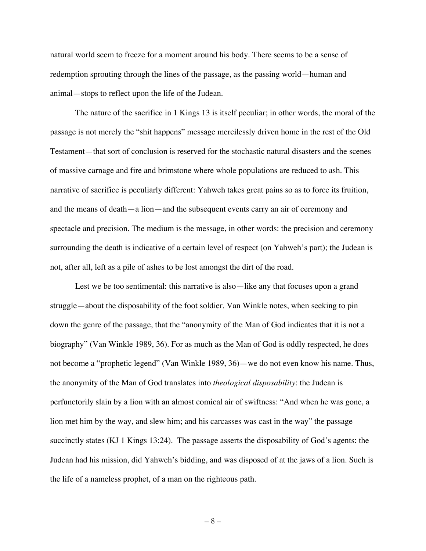natural world seem to freeze for a moment around his body. There seems to be a sense of redemption sprouting through the lines of the passage, as the passing world—human and animal—stops to reflect upon the life of the Judean.

The nature of the sacrifice in 1 Kings 13 is itself peculiar; in other words, the moral of the passage is not merely the "shit happens" message mercilessly driven home in the rest of the Old Testament—that sort of conclusion is reserved for the stochastic natural disasters and the scenes of massive carnage and fire and brimstone where whole populations are reduced to ash. This narrative of sacrifice is peculiarly different: Yahweh takes great pains so as to force its fruition, and the means of death—a lion—and the subsequent events carry an air of ceremony and spectacle and precision. The medium is the message, in other words: the precision and ceremony surrounding the death is indicative of a certain level of respect (on Yahweh's part); the Judean is not, after all, left as a pile of ashes to be lost amongst the dirt of the road.

Lest we be too sentimental: this narrative is also—like any that focuses upon a grand struggle—about the disposability of the foot soldier. Van Winkle notes, when seeking to pin down the genre of the passage, that the "anonymity of the Man of God indicates that it is not a biography" (Van Winkle 1989, 36). For as much as the Man of God is oddly respected, he does not become a "prophetic legend" (Van Winkle 1989, 36)—we do not even know his name. Thus, the anonymity of the Man of God translates into *theological disposability*: the Judean is perfunctorily slain by a lion with an almost comical air of swiftness: "And when he was gone, a lion met him by the way, and slew him; and his carcasses was cast in the way" the passage succinctly states (KJ 1 Kings 13:24). The passage asserts the disposability of God's agents: the Judean had his mission, did Yahweh's bidding, and was disposed of at the jaws of a lion. Such is the life of a nameless prophet, of a man on the righteous path.

– 8 –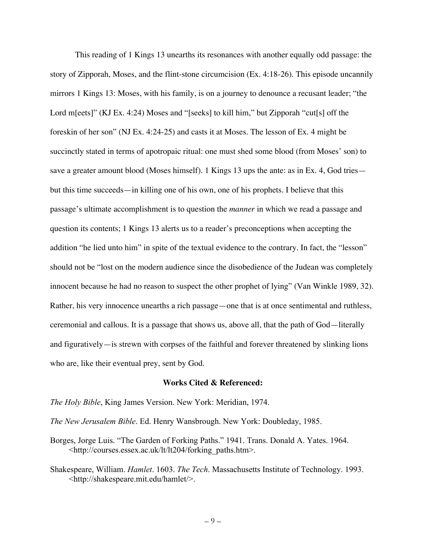This reading of 1 Kings 13 unearths its resonances with another equally odd passage: the story of Zipporah, Moses, and the flint-stone circumcision (Ex. 4:18-26). This episode uncannily mirrors 1 Kings 13: Moses, with his family, is on a journey to denounce a recusant leader; "the Lord m[eets]" (KJ Ex. 4:24) Moses and "[seeks] to kill him," but Zipporah "cut[s] off the foreskin of her son" (NJ Ex. 4:24-25) and casts it at Moses. The lesson of Ex. 4 might be succinctly stated in terms of apotropaic ritual: one must shed some blood (from Moses' son) to save a greater amount blood (Moses himself). 1 Kings 13 ups the ante: as in Ex. 4, God tries but this time succeeds—in killing one of his own, one of his prophets. I believe that this passage's ultimate accomplishment is to question the *manner* in which we read a passage and question its contents; 1 Kings 13 alerts us to a reader's preconceptions when accepting the addition "he lied unto him" in spite of the textual evidence to the contrary. In fact, the "lesson" should not be "lost on the modern audience since the disobedience of the Judean was completely innocent because he had no reason to suspect the other prophet of lying" (Van Winkle 1989, 32). Rather, his very innocence unearths a rich passage—one that is at once sentimental and ruthless, ceremonial and callous. It is a passage that shows us, above all, that the path of God—literally and figuratively—is strewn with corpses of the faithful and forever threatened by slinking lions who are, like their eventual prey, sent by God.

## **Works Cited & Referenced:**

*The Holy Bible*, King James Version. New York: Meridian, 1974.

*The New Jerusalem Bible*. Ed. Henry Wansbrough. New York: Doubleday, 1985.

- Borges, Jorge Luis. "The Garden of Forking Paths." 1941. Trans. Donald A. Yates. 1964. <http://courses.essex.ac.uk/lt/lt204/forking\_paths.htm>.
- Shakespeare, William. *Hamlet*. 1603. *The Tech*. Massachusetts Institute of Technology. 1993. <http://shakespeare.mit.edu/hamlet/>.